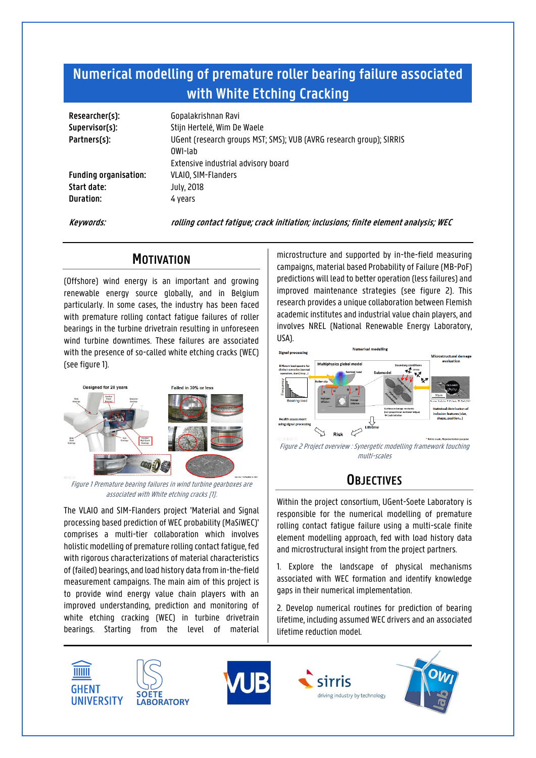# **Numerical modelling of premature roller bearing failure associated with White Etching Cracking**

| Researcher(s):<br>Supervisor(s):<br>Partners(s):         | Gopalakrishnan Ravi<br>Stijn Hertelé, Wim De Waele<br>UGent (research groups MST; SMS); VUB (AVRG research group); SIRRIS<br>OWI-lab |
|----------------------------------------------------------|--------------------------------------------------------------------------------------------------------------------------------------|
| <b>Funding organisation:</b><br>Start date:<br>Duration: | Extensive industrial advisory board<br>VLAIO, SIM-Flanders<br>July, 2018<br>4 vears                                                  |
|                                                          |                                                                                                                                      |

**Keywords: rolling contact fatigue; crack initiation; inclusions; finite element analysis; WEC**

### **MOTIVATION**

(Offshore) wind energy is an important and growing renewable energy source globally, and in Belgium particularly. In some cases, the industry has been faced with premature rolling contact fatigue failures of roller bearings in the turbine drivetrain resulting in unforeseen wind turbine downtimes. These failures are associated with the presence of so-called white etching cracks (WEC) (see figure 1).



Figure 1 Premature bearing failures in wind turbine gearboxes are associated with White etching cracks [1].

The VLAIO and SIM-Flanders project 'Material and Signal processing based prediction of WEC probability (MaSiWEC)' comprises a multi-tier collaboration which involves holistic modelling of premature rolling contact fatigue, fed with rigorous characterizations of material characteristics of (failed) bearings, and load history data from in-the-field measurement campaigns. The main aim of this project is to provide wind energy value chain players with an improved understanding, prediction and monitoring of white etching cracking (WEC) in turbine drivetrain bearings. Starting from the level of material

microstructure and supported by in-the-field measuring campaigns, material based Probability of Failure (MB-PoF) predictions will lead to better operation (less failures) and improved maintenance strategies (see figure 2). This research provides a unique collaboration between Flemish academic institutes and industrial value chain players, and involves NREL (National Renewable Energy Laboratory, USA).



Figure 2 Project overview : Synergetic modelling framework touching multi-scales

## **OBJECTIVES**

Within the project consortium, UGent-Soete Laboratory is responsible for the numerical modelling of premature rolling contact fatigue failure using a multi-scale finite element modelling approach, fed with load history data and microstructural insight from the project partners.

1. Explore the landscape of physical mechanisms associated with WEC formation and identify knowledge gaps in their numerical implementation.

2. Develop numerical routines for prediction of bearing lifetime, including assumed WEC drivers and an associated lifetime reduction model.